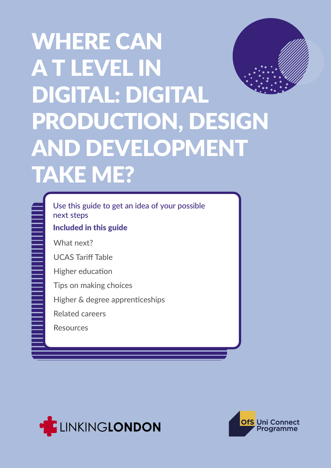# WHERE CAN A T LEVEL IN DIGITAL: DIGITAL PRODUCTION, DESIGN AND DEVELOPMENT TAKE ME?

Use this guide to get an idea of your possible next steps

Included in this guide

What next?

UCAS Tariff Table

Higher education

Tips on making choices

Higher & degree apprenticeships

Related careers

Resources





DIGITAL 1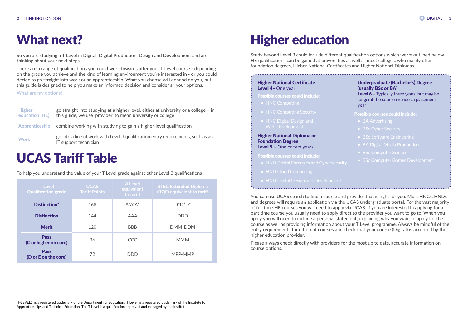So you are studying a T Level in Digital: Digital Production, Design and Development and are thinking about your next steps.

There are a range of qualifications you could work towards after your T Level course - depending on the grade you achieve and the kind of learning environment you're interested in - or you could decide to go straight into work or an apprenticeship. What you choose will depend on you, but this guide is designed to help you make an informed decision and consider all your options.

**What are my options?**

- HNC Computing
- 
- HNC Digital Design and Web Development

# What next?

| <b>Higher</b><br>education (HE) | go straight into studying at a higher level, either at university or a college – in<br>this guide, we use 'provider' to mean university or college |
|---------------------------------|----------------------------------------------------------------------------------------------------------------------------------------------------|
|                                 | Apprenticeship combine working with studying to gain a higher-level qualification                                                                  |
| <b>Work</b>                     | go into a line of work with Level 3 qualification entry requirements, such as an<br>IT support technician                                          |

| cate    | <b>Undergraduate (Bachelor's) Degree</b><br>(usually BSc or BA)                                         |
|---------|---------------------------------------------------------------------------------------------------------|
| nclude: | <b>Level 6 - Typically three years, but may be</b><br>longer if the course includes a placement<br>year |
| curity  | <b>Possible courses could include:</b>                                                                  |
| and     | • BA Advertising                                                                                        |
|         | • BSc Cyber Security                                                                                    |
| na or   | • BSc Software Engineering                                                                              |
| anno    | • BA Digital Media Production                                                                           |

### Higher National Certificate Level 4– One year

Possible courses could include:

### Higher National Diploma or Foundation Degree Level 5 – One or two years

### Possible courses could include:

- HND Digital Forensics and Cybersecurity
- 
- HND Digital Design and Development
- BSc Computer Science
- 

You can use UCAS search to find a course and provider that is right for you. Most HNCs, HNDs and degrees will require an application via the UCAS undergraduate portal. For the vast majority of full time HE courses you will need to apply via UCAS. If you are interested in applying for a part time course you usually need to apply direct to the provider you want to go to. When you apply you will need to include a personal statement, explaining why you want to apply for the course as well as providing information about your T Level programme. Always be mindful of the entry requirements for different courses and check that your course (Digital) is accepted by the higher education provider.

Please always check directly with providers for the most up to date, accurate information on course options.

# Higher education

Study beyond Level 3 could include different qualification options which we've outlined below. HE qualifications can be gained at universities as well as most colleges, who mainly offer foundation degrees, Higher National Certificates and Higher National Diplomas.

| <b>T</b> Level<br><b>Qualification grade</b> | <b>UCAS</b><br><b>Tariff Points</b> | <b>A Level</b><br>equivalent<br>to tariff | <b>BTEC Extended Diploma</b><br>(RQF) equivalent to tariff |
|----------------------------------------------|-------------------------------------|-------------------------------------------|------------------------------------------------------------|
| Distinction*                                 | 168                                 | $A^*A^*A^*$                               | $D^*D^*D^*$                                                |
| <b>Distinction</b>                           | 144                                 | <b>AAA</b>                                | <b>DDD</b>                                                 |
| <b>Merit</b>                                 | 120                                 | <b>BBB</b>                                | DMM-DDM                                                    |
| <b>Pass</b><br>(C or higher on core)         | 96                                  | <b>CCC</b>                                | <b>MMM</b>                                                 |
| <b>Pass</b><br>(D or E on the core)          | 72                                  | DDD                                       | MPP-MMP                                                    |

## UCAS Tariff Table

To help you understand the value of your T Level grade against other Level 3 qualifications

'T-LEVELS' is a registered trademark of the Department for Education. 'T Level' is a registered trademark of the Institute for Apprenticeships and Technical Education. The T Level is a qualification approved and managed by the Institute.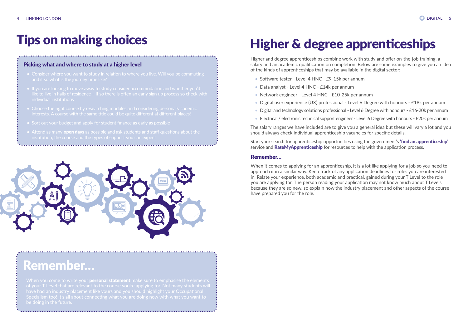### Picking what and where to study at a higher level

When you come to write your **personal statement** make sure to emphasise the elements of your T Level that are relevant to the course you're applying for. Not many students will

- 
- like to live in halls of residence if so there is often an early sign up process so check with individual institutions
- 
- 
- Attend as many **[open days](https://www.whatuni.com/open-days/)** as possible and ask students and staff questions about the institution, the course and the types of support you can expect



## Tips on making choices

## Remember…

# Higher & degree apprenticeships

Higher and degree apprenticeships combine work with study and offer on-the-job training, a salary and an academic qualification on completion. Below are some examples to give you an idea of the kinds of apprenticeships that may be available in the digital sector:

- Software tester Level 4 HNC £9-15k per annum
- Data analyst Level 4 HNC £14k per annum
- Network engineer Level 4 HNC £10-25k per annum
- Digital user experience (UX) professional Level 6 Degree with honours £18k per annum
- Digital and technology solutions professional Level 6 Degree with honours £16-20k per annum
- Electrical / electronic technical support engineer Level 6 Degree with honours £20k per annum

The salary ranges we have included are to give you a general idea but these will vary a lot and you should always check individual apprenticeship vacancies for specific details.

Start your search for apprenticeship opportunities using the government's **['find an apprenticeship'](https://www.findapprenticeship.service.gov.uk)** service and **[RateMyApprenticeship](https://www.ratemyapprenticeship.co.uk)** for resources to help with the application process.

### Remember…

When it comes to applying for an apprenticeship, it is a lot like applying for a job so you need to approach it in a similar way. Keep track of any application deadlines for roles you are interested in. Relate your experience, both academic and practical, gained during your T Level to the role you are applying for. The person reading your application may not know much about T Levels because they are so new, so explain how the industry placement and other aspects of the course have prepared you for the role.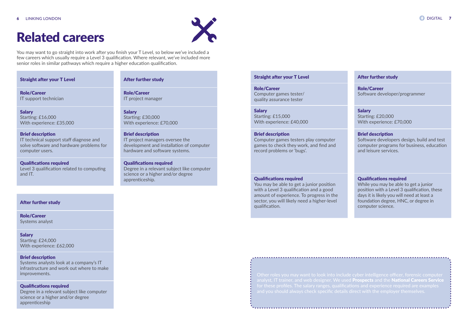### Straight after your T Level

**Salary** Starting: £16,000 With experience: £35,000

Role/Career IT support technician

### Brief description

IT technical support staff diagnose and solve software and hardware problems for computer users.

Qualifications required Level 3 qualification related to computing and IT.

## Related careers



You may want to go straight into work after you finish your T Level, so below we've included a few careers which usually require a Level 3 qualification. Where relevant, we've included more senior roles in similar pathways which require a higher education qualification.

> **Salary** Starting: £15,000 With experience: £40,000

### After further study

Role/Career IT project manager

Salary Starting: £30,000 With experience: £70,000

### Brief description

IT project managers oversee the development and installation of computer hardware and software systems.

Qualifications required Degree in a relevant subject like computer science or a higher and/or degree apprenticeship.

### Straight after your T Level

**Salary** Starting: £24,000 With experience: £62,000

Role/Career Computer games tester/ quality assurance tester

### Brief description

Computer games testers play computer games to check they work, and find and record problems or 'bugs'.

### Qualifications required

You may be able to get a junior position with a Level 3 qualification and a good amount of experience. To progress in the sector, you will likely need a higher-level qualification. After further study reduced to the computer section. The section of the section of the section of the section of the section of the section. The section of the section of the section of the section of the section of the se

### After further study

Role/Career Software developer/programmer

### **Salary**

Starting: £20,000 With experience: £70,000

### Brief description

Software developers design, build and test computer programs for business, education and leisure services.

### Qualifications required

While you may be able to get a junior position with a Level 3 qualification, these days it is likely you will need at least a foundation degree, HNC, or degree in

Role/Career Systems analyst

Brief description

Systems analysts look at a company's IT infrastructure and work out where to make improvements.

### Qualifications required

Degree in a relevant subject like computer science or a higher and/or degree apprenticeship

Other roles you may want to look into include cyber intelligence officer, forensic computer analyst, IT trainer, and web designer. We used [Prospects](https://www.prospects.ac.uk/job-profiles) and the [National Careers Service](https://nationalcareers.service.gov.uk/explore-careers) for these profiles. The salary ranges, qualifications and experience required are examples